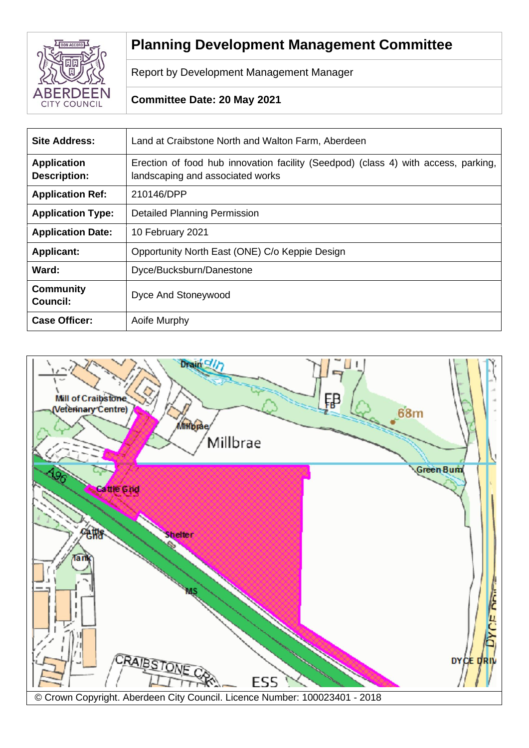

# **Planning Development Management Committee**

Report by Development Management Manager

# **Committee Date: 20 May 2021**

| <b>Site Address:</b>                      | Land at Craibstone North and Walton Farm, Aberdeen                                                                     |
|-------------------------------------------|------------------------------------------------------------------------------------------------------------------------|
| <b>Application</b><br><b>Description:</b> | Erection of food hub innovation facility (Seedpod) (class 4) with access, parking,<br>landscaping and associated works |
| <b>Application Ref:</b>                   | 210146/DPP                                                                                                             |
| <b>Application Type:</b>                  | <b>Detailed Planning Permission</b>                                                                                    |
| <b>Application Date:</b>                  | 10 February 2021                                                                                                       |
| <b>Applicant:</b>                         | Opportunity North East (ONE) C/o Keppie Design                                                                         |
| Ward:                                     | Dyce/Bucksburn/Danestone                                                                                               |
| <b>Community</b><br>Council:              | Dyce And Stoneywood                                                                                                    |
| <b>Case Officer:</b>                      | Aoife Murphy                                                                                                           |

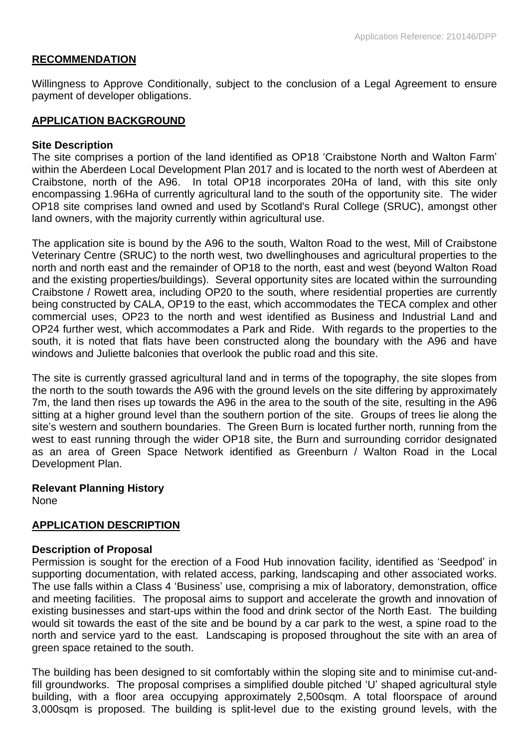## **RECOMMENDATION**

Willingness to Approve Conditionally, subject to the conclusion of a Legal Agreement to ensure payment of developer obligations.

#### **APPLICATION BACKGROUND**

#### **Site Description**

The site comprises a portion of the land identified as OP18 'Craibstone North and Walton Farm' within the Aberdeen Local Development Plan 2017 and is located to the north west of Aberdeen at Craibstone, north of the A96. In total OP18 incorporates 20Ha of land, with this site only encompassing 1.96Ha of currently agricultural land to the south of the opportunity site. The wider OP18 site comprises land owned and used by Scotland's Rural College (SRUC), amongst other land owners, with the majority currently within agricultural use.

The application site is bound by the A96 to the south, Walton Road to the west, Mill of Craibstone Veterinary Centre (SRUC) to the north west, two dwellinghouses and agricultural properties to the north and north east and the remainder of OP18 to the north, east and west (beyond Walton Road and the existing properties/buildings). Several opportunity sites are located within the surrounding Craibstone / Rowett area, including OP20 to the south, where residential properties are currently being constructed by CALA, OP19 to the east, which accommodates the TECA complex and other commercial uses, OP23 to the north and west identified as Business and Industrial Land and OP24 further west, which accommodates a Park and Ride. With regards to the properties to the south, it is noted that flats have been constructed along the boundary with the A96 and have windows and Juliette balconies that overlook the public road and this site.

The site is currently grassed agricultural land and in terms of the topography, the site slopes from the north to the south towards the A96 with the ground levels on the site differing by approximately 7m, the land then rises up towards the A96 in the area to the south of the site, resulting in the A96 sitting at a higher ground level than the southern portion of the site. Groups of trees lie along the site's western and southern boundaries. The Green Burn is located further north, running from the west to east running through the wider OP18 site, the Burn and surrounding corridor designated as an area of Green Space Network identified as Greenburn / Walton Road in the Local Development Plan.

**Relevant Planning History** None

## **APPLICATION DESCRIPTION**

#### **Description of Proposal**

Permission is sought for the erection of a Food Hub innovation facility, identified as 'Seedpod' in supporting documentation, with related access, parking, landscaping and other associated works. The use falls within a Class 4 'Business' use, comprising a mix of laboratory, demonstration, office and meeting facilities. The proposal aims to support and accelerate the growth and innovation of existing businesses and start-ups within the food and drink sector of the North East. The building would sit towards the east of the site and be bound by a car park to the west, a spine road to the north and service yard to the east. Landscaping is proposed throughout the site with an area of green space retained to the south.

The building has been designed to sit comfortably within the sloping site and to minimise cut-andfill groundworks. The proposal comprises a simplified double pitched 'U' shaped agricultural style building, with a floor area occupying approximately 2,500sqm. A total floorspace of around 3,000sqm is proposed. The building is split-level due to the existing ground levels, with the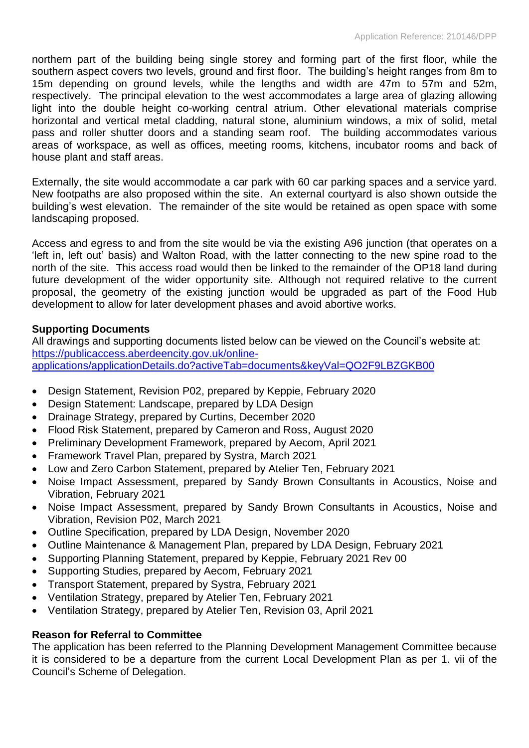northern part of the building being single storey and forming part of the first floor, while the southern aspect covers two levels, ground and first floor. The building's height ranges from 8m to 15m depending on ground levels, while the lengths and width are 47m to 57m and 52m, respectively. The principal elevation to the west accommodates a large area of glazing allowing light into the double height co-working central atrium. Other elevational materials comprise horizontal and vertical metal cladding, natural stone, aluminium windows, a mix of solid, metal pass and roller shutter doors and a standing seam roof. The building accommodates various areas of workspace, as well as offices, meeting rooms, kitchens, incubator rooms and back of house plant and staff areas.

Externally, the site would accommodate a car park with 60 car parking spaces and a service yard. New footpaths are also proposed within the site. An external courtyard is also shown outside the building's west elevation. The remainder of the site would be retained as open space with some landscaping proposed.

Access and egress to and from the site would be via the existing A96 junction (that operates on a 'left in, left out' basis) and Walton Road, with the latter connecting to the new spine road to the north of the site. This access road would then be linked to the remainder of the OP18 land during future development of the wider opportunity site. Although not required relative to the current proposal, the geometry of the existing junction would be upgraded as part of the Food Hub development to allow for later development phases and avoid abortive works.

## **Supporting Documents**

All drawings and supporting documents listed below can be viewed on the Council's website at: [https://publicaccess.aberdeencity.gov.uk/online](https://publicaccess.aberdeencity.gov.uk/online-applications/applicationDetails.do?activeTab=documents&keyVal=QO2F9LBZGKB00)[applications/applicationDetails.do?activeTab=documents&keyVal=QO2F9LBZGKB00](https://publicaccess.aberdeencity.gov.uk/online-applications/applicationDetails.do?activeTab=documents&keyVal=QO2F9LBZGKB00)

- Design Statement, Revision P02, prepared by Keppie, February 2020
- Design Statement: Landscape, prepared by LDA Design
- Drainage Strategy, prepared by Curtins, December 2020
- Flood Risk Statement, prepared by Cameron and Ross, August 2020
- Preliminary Development Framework, prepared by Aecom, April 2021
- Framework Travel Plan, prepared by Systra, March 2021
- Low and Zero Carbon Statement, prepared by Atelier Ten, February 2021
- Noise Impact Assessment, prepared by Sandy Brown Consultants in Acoustics, Noise and Vibration, February 2021
- Noise Impact Assessment, prepared by Sandy Brown Consultants in Acoustics, Noise and Vibration, Revision P02, March 2021
- Outline Specification, prepared by LDA Design, November 2020
- Outline Maintenance & Management Plan, prepared by LDA Design, February 2021
- Supporting Planning Statement, prepared by Keppie, February 2021 Rev 00
- Supporting Studies, prepared by Aecom, February 2021
- Transport Statement, prepared by Systra, February 2021
- Ventilation Strategy, prepared by Atelier Ten, February 2021
- Ventilation Strategy, prepared by Atelier Ten, Revision 03, April 2021

## **Reason for Referral to Committee**

The application has been referred to the Planning Development Management Committee because it is considered to be a departure from the current Local Development Plan as per 1. vii of the Council's Scheme of Delegation.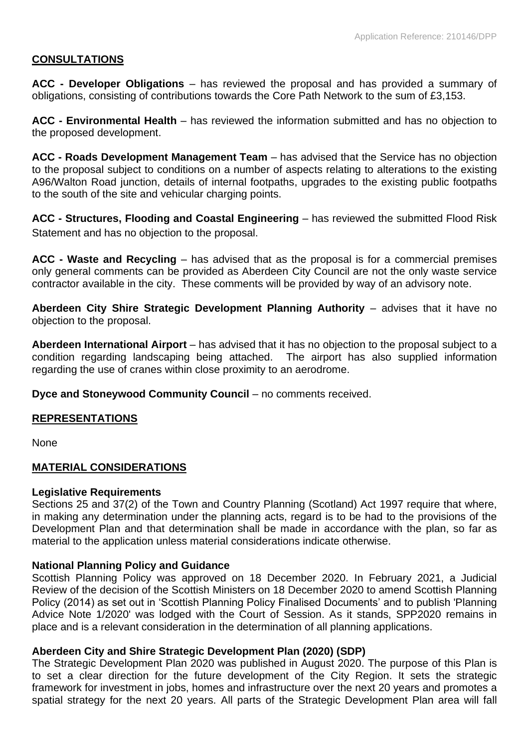## **CONSULTATIONS**

**ACC - Developer Obligations** – has reviewed the proposal and has provided a summary of obligations, consisting of contributions towards the Core Path Network to the sum of £3,153.

**ACC - Environmental Health** – has reviewed the information submitted and has no objection to the proposed development.

**ACC - Roads Development Management Team** – has advised that the Service has no objection to the proposal subject to conditions on a number of aspects relating to alterations to the existing A96/Walton Road junction, details of internal footpaths, upgrades to the existing public footpaths to the south of the site and vehicular charging points.

**ACC - Structures, Flooding and Coastal Engineering** – has reviewed the submitted Flood Risk Statement and has no objection to the proposal.

**ACC - Waste and Recycling** – has advised that as the proposal is for a commercial premises only general comments can be provided as Aberdeen City Council are not the only waste service contractor available in the city. These comments will be provided by way of an advisory note.

**Aberdeen City Shire Strategic Development Planning Authority** – advises that it have no objection to the proposal.

**Aberdeen International Airport** – has advised that it has no objection to the proposal subject to a condition regarding landscaping being attached. The airport has also supplied information regarding the use of cranes within close proximity to an aerodrome.

**Dyce and Stoneywood Community Council** – no comments received.

## **REPRESENTATIONS**

None

## **MATERIAL CONSIDERATIONS**

#### **Legislative Requirements**

Sections 25 and 37(2) of the Town and Country Planning (Scotland) Act 1997 require that where, in making any determination under the planning acts, regard is to be had to the provisions of the Development Plan and that determination shall be made in accordance with the plan, so far as material to the application unless material considerations indicate otherwise.

## **National Planning Policy and Guidance**

Scottish Planning Policy was approved on 18 December 2020. In February 2021, a Judicial Review of the decision of the Scottish Ministers on 18 December 2020 to amend Scottish Planning Policy (2014) as set out in 'Scottish Planning Policy Finalised Documents' and to publish 'Planning Advice Note 1/2020' was lodged with the Court of Session. As it stands, SPP2020 remains in place and is a relevant consideration in the determination of all planning applications.

## **Aberdeen City and Shire Strategic Development Plan (2020) (SDP)**

The Strategic Development Plan 2020 was published in August 2020. The purpose of this Plan is to set a clear direction for the future development of the City Region. It sets the strategic framework for investment in jobs, homes and infrastructure over the next 20 years and promotes a spatial strategy for the next 20 years. All parts of the Strategic Development Plan area will fall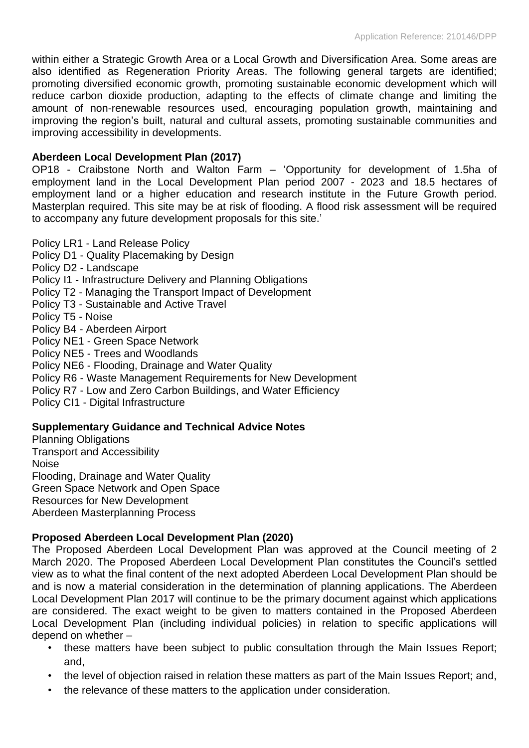within either a Strategic Growth Area or a Local Growth and Diversification Area. Some areas are also identified as Regeneration Priority Areas. The following general targets are identified; promoting diversified economic growth, promoting sustainable economic development which will reduce carbon dioxide production, adapting to the effects of climate change and limiting the amount of non-renewable resources used, encouraging population growth, maintaining and improving the region's built, natural and cultural assets, promoting sustainable communities and improving accessibility in developments.

## **Aberdeen Local Development Plan (2017)**

OP18 - Craibstone North and Walton Farm – 'Opportunity for development of 1.5ha of employment land in the Local Development Plan period 2007 - 2023 and 18.5 hectares of employment land or a higher education and research institute in the Future Growth period. Masterplan required. This site may be at risk of flooding. A flood risk assessment will be required to accompany any future development proposals for this site.'

Policy LR1 - Land Release Policy

Policy D1 - Quality Placemaking by Design Policy D2 - Landscape Policy I1 - Infrastructure Delivery and Planning Obligations Policy T2 - Managing the Transport Impact of Development Policy T3 - Sustainable and Active Travel Policy T5 - Noise Policy B4 - Aberdeen Airport Policy NE1 - Green Space Network Policy NE5 - Trees and Woodlands Policy NE6 - Flooding, Drainage and Water Quality Policy R6 - Waste Management Requirements for New Development Policy R7 - Low and Zero Carbon Buildings, and Water Efficiency Policy CI1 - Digital Infrastructure

## **Supplementary Guidance and Technical Advice Notes**

Planning Obligations Transport and Accessibility Noise Flooding, Drainage and Water Quality Green Space Network and Open Space Resources for New Development Aberdeen Masterplanning Process

# **Proposed Aberdeen Local Development Plan (2020)**

The Proposed Aberdeen Local Development Plan was approved at the Council meeting of 2 March 2020. The Proposed Aberdeen Local Development Plan constitutes the Council's settled view as to what the final content of the next adopted Aberdeen Local Development Plan should be and is now a material consideration in the determination of planning applications. The Aberdeen Local Development Plan 2017 will continue to be the primary document against which applications are considered. The exact weight to be given to matters contained in the Proposed Aberdeen Local Development Plan (including individual policies) in relation to specific applications will depend on whether –

- these matters have been subject to public consultation through the Main Issues Report; and,
- the level of objection raised in relation these matters as part of the Main Issues Report; and,
- the relevance of these matters to the application under consideration.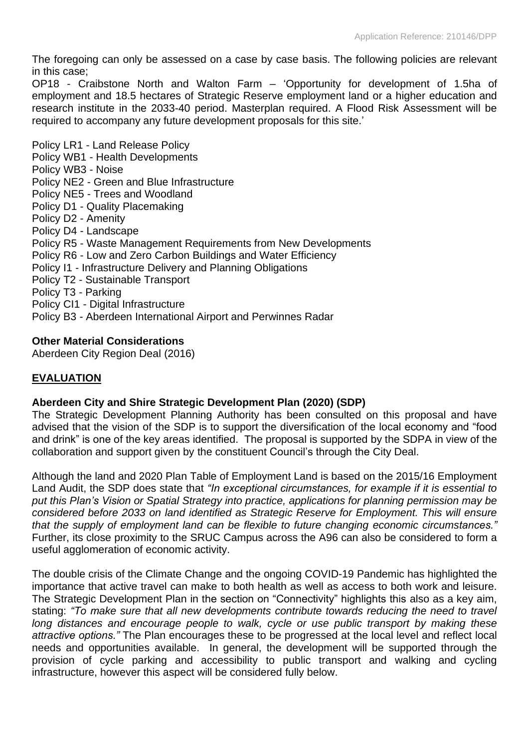The foregoing can only be assessed on a case by case basis. The following policies are relevant in this case;

OP18 - Craibstone North and Walton Farm – 'Opportunity for development of 1.5ha of employment and 18.5 hectares of Strategic Reserve employment land or a higher education and research institute in the 2033-40 period. Masterplan required. A Flood Risk Assessment will be required to accompany any future development proposals for this site.'

Policy LR1 - Land Release Policy Policy WB1 - Health Developments Policy WB3 - Noise Policy NE2 - Green and Blue Infrastructure Policy NE5 - Trees and Woodland Policy D1 - Quality Placemaking Policy D2 - Amenity Policy D4 - Landscape Policy R5 - Waste Management Requirements from New Developments Policy R6 - Low and Zero Carbon Buildings and Water Efficiency Policy I1 - Infrastructure Delivery and Planning Obligations Policy T2 - Sustainable Transport Policy T3 - Parking Policy CI1 - Digital Infrastructure Policy B3 - Aberdeen International Airport and Perwinnes Radar

## **Other Material Considerations**

Aberdeen City Region Deal (2016)

# **EVALUATION**

## **Aberdeen City and Shire Strategic Development Plan (2020) (SDP)**

The Strategic Development Planning Authority has been consulted on this proposal and have advised that the vision of the SDP is to support the diversification of the local economy and "food and drink" is one of the key areas identified. The proposal is supported by the SDPA in view of the collaboration and support given by the constituent Council's through the City Deal.

Although the land and 2020 Plan Table of Employment Land is based on the 2015/16 Employment Land Audit, the SDP does state that *"In exceptional circumstances, for example if it is essential to put this Plan's Vision or Spatial Strategy into practice, applications for planning permission may be considered before 2033 on land identified as Strategic Reserve for Employment. This will ensure that the supply of employment land can be flexible to future changing economic circumstances."* Further, its close proximity to the SRUC Campus across the A96 can also be considered to form a useful agglomeration of economic activity.

The double crisis of the Climate Change and the ongoing COVID-19 Pandemic has highlighted the importance that active travel can make to both health as well as access to both work and leisure. The Strategic Development Plan in the section on "Connectivity" highlights this also as a key aim, stating: *"To make sure that all new developments contribute towards reducing the need to travel long distances and encourage people to walk, cycle or use public transport by making these attractive options."* The Plan encourages these to be progressed at the local level and reflect local needs and opportunities available. In general, the development will be supported through the provision of cycle parking and accessibility to public transport and walking and cycling infrastructure, however this aspect will be considered fully below.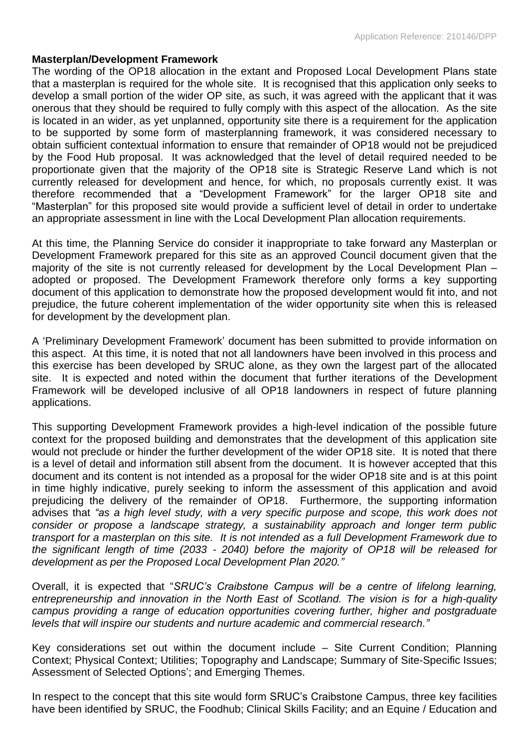#### **Masterplan/Development Framework**

The wording of the OP18 allocation in the extant and Proposed Local Development Plans state that a masterplan is required for the whole site. It is recognised that this application only seeks to develop a small portion of the wider OP site, as such, it was agreed with the applicant that it was onerous that they should be required to fully comply with this aspect of the allocation. As the site is located in an wider, as yet unplanned, opportunity site there is a requirement for the application to be supported by some form of masterplanning framework, it was considered necessary to obtain sufficient contextual information to ensure that remainder of OP18 would not be prejudiced by the Food Hub proposal. It was acknowledged that the level of detail required needed to be proportionate given that the majority of the OP18 site is Strategic Reserve Land which is not currently released for development and hence, for which, no proposals currently exist. It was therefore recommended that a "Development Framework" for the larger OP18 site and "Masterplan" for this proposed site would provide a sufficient level of detail in order to undertake an appropriate assessment in line with the Local Development Plan allocation requirements.

At this time, the Planning Service do consider it inappropriate to take forward any Masterplan or Development Framework prepared for this site as an approved Council document given that the majority of the site is not currently released for development by the Local Development Plan – adopted or proposed. The Development Framework therefore only forms a key supporting document of this application to demonstrate how the proposed development would fit into, and not prejudice, the future coherent implementation of the wider opportunity site when this is released for development by the development plan.

A 'Preliminary Development Framework' document has been submitted to provide information on this aspect. At this time, it is noted that not all landowners have been involved in this process and this exercise has been developed by SRUC alone, as they own the largest part of the allocated site. It is expected and noted within the document that further iterations of the Development Framework will be developed inclusive of all OP18 landowners in respect of future planning applications.

This supporting Development Framework provides a high-level indication of the possible future context for the proposed building and demonstrates that the development of this application site would not preclude or hinder the further development of the wider OP18 site. It is noted that there is a level of detail and information still absent from the document. It is however accepted that this document and its content is not intended as a proposal for the wider OP18 site and is at this point in time highly indicative, purely seeking to inform the assessment of this application and avoid prejudicing the delivery of the remainder of OP18. Furthermore, the supporting information advises that *"as a high level study, with a very specific purpose and scope, this work does not consider or propose a landscape strategy, a sustainability approach and longer term public transport for a masterplan on this site. It is not intended as a full Development Framework due to the significant length of time (2033 - 2040) before the majority of OP18 will be released for development as per the Proposed Local Development Plan 2020."*

Overall, it is expected that "*SRUC's Craibstone Campus will be a centre of lifelong learning, entrepreneurship and innovation in the North East of Scotland. The vision is for a high-quality campus providing a range of education opportunities covering further, higher and postgraduate levels that will inspire our students and nurture academic and commercial research."*

Key considerations set out within the document include – Site Current Condition; Planning Context; Physical Context; Utilities; Topography and Landscape; Summary of Site-Specific Issues; Assessment of Selected Options'; and Emerging Themes.

In respect to the concept that this site would form SRUC's Craibstone Campus, three key facilities have been identified by SRUC, the Foodhub; Clinical Skills Facility; and an Equine / Education and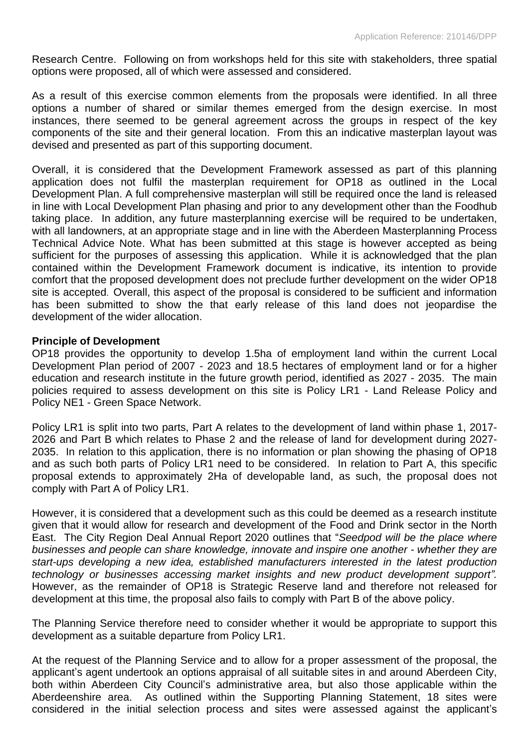Research Centre. Following on from workshops held for this site with stakeholders, three spatial options were proposed, all of which were assessed and considered.

As a result of this exercise common elements from the proposals were identified. In all three options a number of shared or similar themes emerged from the design exercise. In most instances, there seemed to be general agreement across the groups in respect of the key components of the site and their general location. From this an indicative masterplan layout was devised and presented as part of this supporting document.

Overall, it is considered that the Development Framework assessed as part of this planning application does not fulfil the masterplan requirement for OP18 as outlined in the Local Development Plan. A full comprehensive masterplan will still be required once the land is released in line with Local Development Plan phasing and prior to any development other than the Foodhub taking place. In addition, any future masterplanning exercise will be required to be undertaken, with all landowners, at an appropriate stage and in line with the Aberdeen Masterplanning Process Technical Advice Note. What has been submitted at this stage is however accepted as being sufficient for the purposes of assessing this application. While it is acknowledged that the plan contained within the Development Framework document is indicative, its intention to provide comfort that the proposed development does not preclude further development on the wider OP18 site is accepted. Overall, this aspect of the proposal is considered to be sufficient and information has been submitted to show the that early release of this land does not jeopardise the development of the wider allocation.

#### **Principle of Development**

OP18 provides the opportunity to develop 1.5ha of employment land within the current Local Development Plan period of 2007 - 2023 and 18.5 hectares of employment land or for a higher education and research institute in the future growth period, identified as 2027 - 2035. The main policies required to assess development on this site is Policy LR1 - Land Release Policy and Policy NE1 - Green Space Network.

Policy LR1 is split into two parts, Part A relates to the development of land within phase 1, 2017- 2026 and Part B which relates to Phase 2 and the release of land for development during 2027- 2035. In relation to this application, there is no information or plan showing the phasing of OP18 and as such both parts of Policy LR1 need to be considered. In relation to Part A, this specific proposal extends to approximately 2Ha of developable land, as such, the proposal does not comply with Part A of Policy LR1.

However, it is considered that a development such as this could be deemed as a research institute given that it would allow for research and development of the Food and Drink sector in the North East. The City Region Deal Annual Report 2020 outlines that "*Seedpod will be the place where businesses and people can share knowledge, innovate and inspire one another - whether they are start-ups developing a new idea, established manufacturers interested in the latest production technology or businesses accessing market insights and new product development support".*  However, as the remainder of OP18 is Strategic Reserve land and therefore not released for development at this time, the proposal also fails to comply with Part B of the above policy.

The Planning Service therefore need to consider whether it would be appropriate to support this development as a suitable departure from Policy LR1.

At the request of the Planning Service and to allow for a proper assessment of the proposal, the applicant's agent undertook an options appraisal of all suitable sites in and around Aberdeen City, both within Aberdeen City Council's administrative area, but also those applicable within the Aberdeenshire area. As outlined within the Supporting Planning Statement, 18 sites were considered in the initial selection process and sites were assessed against the applicant's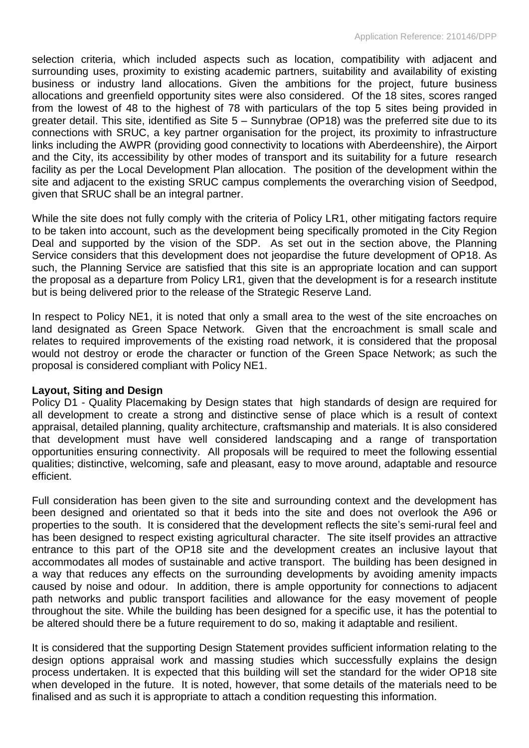selection criteria, which included aspects such as location, compatibility with adjacent and surrounding uses, proximity to existing academic partners, suitability and availability of existing business or industry land allocations. Given the ambitions for the project, future business allocations and greenfield opportunity sites were also considered. Of the 18 sites, scores ranged from the lowest of 48 to the highest of 78 with particulars of the top 5 sites being provided in greater detail. This site, identified as Site 5 – Sunnybrae (OP18) was the preferred site due to its connections with SRUC, a key partner organisation for the project, its proximity to infrastructure links including the AWPR (providing good connectivity to locations with Aberdeenshire), the Airport and the City, its accessibility by other modes of transport and its suitability for a future research facility as per the Local Development Plan allocation. The position of the development within the site and adjacent to the existing SRUC campus complements the overarching vision of Seedpod, given that SRUC shall be an integral partner.

While the site does not fully comply with the criteria of Policy LR1, other mitigating factors require to be taken into account, such as the development being specifically promoted in the City Region Deal and supported by the vision of the SDP. As set out in the section above, the Planning Service considers that this development does not jeopardise the future development of OP18. As such, the Planning Service are satisfied that this site is an appropriate location and can support the proposal as a departure from Policy LR1, given that the development is for a research institute but is being delivered prior to the release of the Strategic Reserve Land.

In respect to Policy NE1, it is noted that only a small area to the west of the site encroaches on land designated as Green Space Network. Given that the encroachment is small scale and relates to required improvements of the existing road network, it is considered that the proposal would not destroy or erode the character or function of the Green Space Network; as such the proposal is considered compliant with Policy NE1.

## **Layout, Siting and Design**

Policy D1 - Quality Placemaking by Design states that high standards of design are required for all development to create a strong and distinctive sense of place which is a result of context appraisal, detailed planning, quality architecture, craftsmanship and materials. It is also considered that development must have well considered landscaping and a range of transportation opportunities ensuring connectivity. All proposals will be required to meet the following essential qualities; distinctive, welcoming, safe and pleasant, easy to move around, adaptable and resource efficient.

Full consideration has been given to the site and surrounding context and the development has been designed and orientated so that it beds into the site and does not overlook the A96 or properties to the south. It is considered that the development reflects the site's semi-rural feel and has been designed to respect existing agricultural character. The site itself provides an attractive entrance to this part of the OP18 site and the development creates an inclusive layout that accommodates all modes of sustainable and active transport. The building has been designed in a way that reduces any effects on the surrounding developments by avoiding amenity impacts caused by noise and odour. In addition, there is ample opportunity for connections to adjacent path networks and public transport facilities and allowance for the easy movement of people throughout the site. While the building has been designed for a specific use, it has the potential to be altered should there be a future requirement to do so, making it adaptable and resilient.

It is considered that the supporting Design Statement provides sufficient information relating to the design options appraisal work and massing studies which successfully explains the design process undertaken. It is expected that this building will set the standard for the wider OP18 site when developed in the future. It is noted, however, that some details of the materials need to be finalised and as such it is appropriate to attach a condition requesting this information.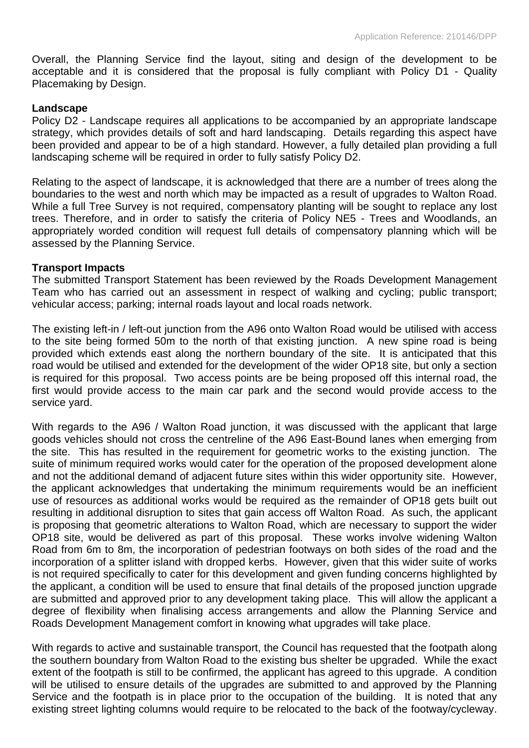Overall, the Planning Service find the layout, siting and design of the development to be acceptable and it is considered that the proposal is fully compliant with Policy D1 - Quality Placemaking by Design.

#### **Landscape**

Policy D2 - Landscape requires all applications to be accompanied by an appropriate landscape strategy, which provides details of soft and hard landscaping. Details regarding this aspect have been provided and appear to be of a high standard. However, a fully detailed plan providing a full landscaping scheme will be required in order to fully satisfy Policy D2.

Relating to the aspect of landscape, it is acknowledged that there are a number of trees along the boundaries to the west and north which may be impacted as a result of upgrades to Walton Road. While a full Tree Survey is not required, compensatory planting will be sought to replace any lost trees. Therefore, and in order to satisfy the criteria of Policy NE5 - Trees and Woodlands, an appropriately worded condition will request full details of compensatory planning which will be assessed by the Planning Service.

#### **Transport Impacts**

The submitted Transport Statement has been reviewed by the Roads Development Management Team who has carried out an assessment in respect of walking and cycling; public transport; vehicular access; parking; internal roads layout and local roads network.

The existing left-in / left-out junction from the A96 onto Walton Road would be utilised with access to the site being formed 50m to the north of that existing junction. A new spine road is being provided which extends east along the northern boundary of the site. It is anticipated that this road would be utilised and extended for the development of the wider OP18 site, but only a section is required for this proposal. Two access points are be being proposed off this internal road, the first would provide access to the main car park and the second would provide access to the service yard.

With regards to the A96 / Walton Road junction, it was discussed with the applicant that large goods vehicles should not cross the centreline of the A96 East-Bound lanes when emerging from the site. This has resulted in the requirement for geometric works to the existing junction. The suite of minimum required works would cater for the operation of the proposed development alone and not the additional demand of adjacent future sites within this wider opportunity site. However, the applicant acknowledges that undertaking the minimum requirements would be an inefficient use of resources as additional works would be required as the remainder of OP18 gets built out resulting in additional disruption to sites that gain access off Walton Road. As such, the applicant is proposing that geometric alterations to Walton Road, which are necessary to support the wider OP18 site, would be delivered as part of this proposal. These works involve widening Walton Road from 6m to 8m, the incorporation of pedestrian footways on both sides of the road and the incorporation of a splitter island with dropped kerbs. However, given that this wider suite of works is not required specifically to cater for this development and given funding concerns highlighted by the applicant, a condition will be used to ensure that final details of the proposed junction upgrade are submitted and approved prior to any development taking place. This will allow the applicant a degree of flexibility when finalising access arrangements and allow the Planning Service and Roads Development Management comfort in knowing what upgrades will take place.

With regards to active and sustainable transport, the Council has requested that the footpath along the southern boundary from Walton Road to the existing bus shelter be upgraded. While the exact extent of the footpath is still to be confirmed, the applicant has agreed to this upgrade. A condition will be utilised to ensure details of the upgrades are submitted to and approved by the Planning Service and the footpath is in place prior to the occupation of the building. It is noted that any existing street lighting columns would require to be relocated to the back of the footway/cycleway.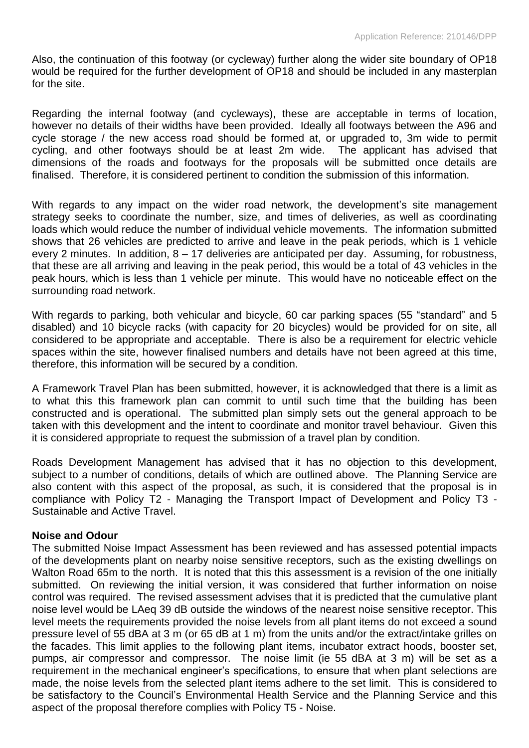Also, the continuation of this footway (or cycleway) further along the wider site boundary of OP18 would be required for the further development of OP18 and should be included in any masterplan for the site.

Regarding the internal footway (and cycleways), these are acceptable in terms of location, however no details of their widths have been provided. Ideally all footways between the A96 and cycle storage / the new access road should be formed at, or upgraded to, 3m wide to permit cycling, and other footways should be at least 2m wide. The applicant has advised that dimensions of the roads and footways for the proposals will be submitted once details are finalised. Therefore, it is considered pertinent to condition the submission of this information.

With regards to any impact on the wider road network, the development's site management strategy seeks to coordinate the number, size, and times of deliveries, as well as coordinating loads which would reduce the number of individual vehicle movements. The information submitted shows that 26 vehicles are predicted to arrive and leave in the peak periods, which is 1 vehicle every 2 minutes. In addition, 8 – 17 deliveries are anticipated per day. Assuming, for robustness, that these are all arriving and leaving in the peak period, this would be a total of 43 vehicles in the peak hours, which is less than 1 vehicle per minute. This would have no noticeable effect on the surrounding road network.

With regards to parking, both vehicular and bicycle, 60 car parking spaces (55 "standard" and 5 disabled) and 10 bicycle racks (with capacity for 20 bicycles) would be provided for on site, all considered to be appropriate and acceptable. There is also be a requirement for electric vehicle spaces within the site, however finalised numbers and details have not been agreed at this time, therefore, this information will be secured by a condition.

A Framework Travel Plan has been submitted, however, it is acknowledged that there is a limit as to what this this framework plan can commit to until such time that the building has been constructed and is operational. The submitted plan simply sets out the general approach to be taken with this development and the intent to coordinate and monitor travel behaviour. Given this it is considered appropriate to request the submission of a travel plan by condition.

Roads Development Management has advised that it has no objection to this development, subject to a number of conditions, details of which are outlined above. The Planning Service are also content with this aspect of the proposal, as such, it is considered that the proposal is in compliance with Policy T2 - Managing the Transport Impact of Development and Policy T3 - Sustainable and Active Travel.

## **Noise and Odour**

The submitted Noise Impact Assessment has been reviewed and has assessed potential impacts of the developments plant on nearby noise sensitive receptors, such as the existing dwellings on Walton Road 65m to the north. It is noted that this this assessment is a revision of the one initially submitted. On reviewing the initial version, it was considered that further information on noise control was required. The revised assessment advises that it is predicted that the cumulative plant noise level would be LAeq 39 dB outside the windows of the nearest noise sensitive receptor. This level meets the requirements provided the noise levels from all plant items do not exceed a sound pressure level of 55 dBA at 3 m (or 65 dB at 1 m) from the units and/or the extract/intake grilles on the facades. This limit applies to the following plant items, incubator extract hoods, booster set, pumps, air compressor and compressor. The noise limit (ie 55 dBA at 3 m) will be set as a requirement in the mechanical engineer's specifications, to ensure that when plant selections are made, the noise levels from the selected plant items adhere to the set limit. This is considered to be satisfactory to the Council's Environmental Health Service and the Planning Service and this aspect of the proposal therefore complies with Policy T5 - Noise.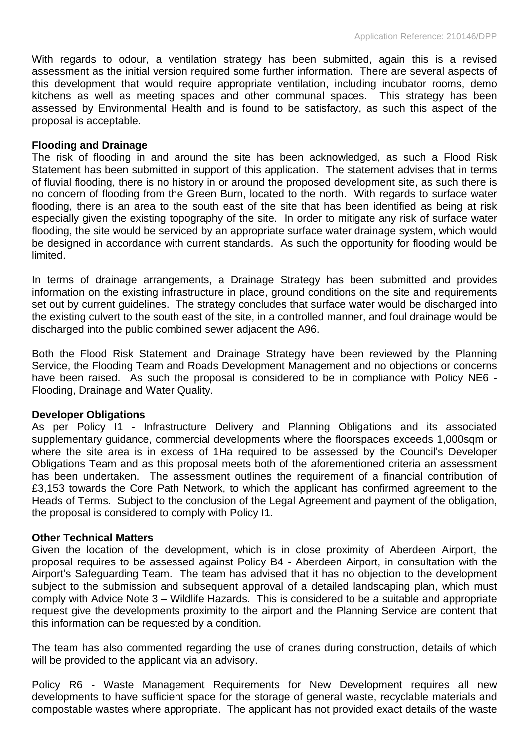With regards to odour, a ventilation strategy has been submitted, again this is a revised assessment as the initial version required some further information. There are several aspects of this development that would require appropriate ventilation, including incubator rooms, demo kitchens as well as meeting spaces and other communal spaces. This strategy has been assessed by Environmental Health and is found to be satisfactory, as such this aspect of the proposal is acceptable.

#### **Flooding and Drainage**

The risk of flooding in and around the site has been acknowledged, as such a Flood Risk Statement has been submitted in support of this application. The statement advises that in terms of fluvial flooding, there is no history in or around the proposed development site, as such there is no concern of flooding from the Green Burn, located to the north. With regards to surface water flooding, there is an area to the south east of the site that has been identified as being at risk especially given the existing topography of the site. In order to mitigate any risk of surface water flooding, the site would be serviced by an appropriate surface water drainage system, which would be designed in accordance with current standards. As such the opportunity for flooding would be limited.

In terms of drainage arrangements, a Drainage Strategy has been submitted and provides information on the existing infrastructure in place, ground conditions on the site and requirements set out by current guidelines. The strategy concludes that surface water would be discharged into the existing culvert to the south east of the site, in a controlled manner, and foul drainage would be discharged into the public combined sewer adjacent the A96.

Both the Flood Risk Statement and Drainage Strategy have been reviewed by the Planning Service, the Flooding Team and Roads Development Management and no objections or concerns have been raised. As such the proposal is considered to be in compliance with Policy NE6 - Flooding, Drainage and Water Quality.

## **Developer Obligations**

As per Policy I1 - Infrastructure Delivery and Planning Obligations and its associated supplementary guidance, commercial developments where the floorspaces exceeds 1,000sqm or where the site area is in excess of 1Ha required to be assessed by the Council's Developer Obligations Team and as this proposal meets both of the aforementioned criteria an assessment has been undertaken. The assessment outlines the requirement of a financial contribution of £3,153 towards the Core Path Network, to which the applicant has confirmed agreement to the Heads of Terms. Subject to the conclusion of the Legal Agreement and payment of the obligation, the proposal is considered to comply with Policy I1.

#### **Other Technical Matters**

Given the location of the development, which is in close proximity of Aberdeen Airport, the proposal requires to be assessed against Policy B4 - Aberdeen Airport, in consultation with the Airport's Safeguarding Team. The team has advised that it has no objection to the development subject to the submission and subsequent approval of a detailed landscaping plan, which must comply with Advice Note 3 – Wildlife Hazards. This is considered to be a suitable and appropriate request give the developments proximity to the airport and the Planning Service are content that this information can be requested by a condition.

The team has also commented regarding the use of cranes during construction, details of which will be provided to the applicant via an advisory.

Policy R6 - Waste Management Requirements for New Development requires all new developments to have sufficient space for the storage of general waste, recyclable materials and compostable wastes where appropriate. The applicant has not provided exact details of the waste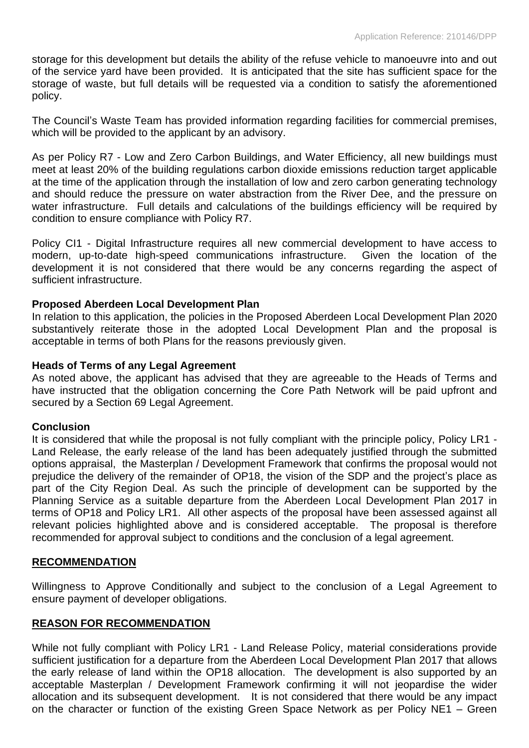storage for this development but details the ability of the refuse vehicle to manoeuvre into and out of the service yard have been provided. It is anticipated that the site has sufficient space for the storage of waste, but full details will be requested via a condition to satisfy the aforementioned policy.

The Council's Waste Team has provided information regarding facilities for commercial premises, which will be provided to the applicant by an advisory.

As per Policy R7 - Low and Zero Carbon Buildings, and Water Efficiency, all new buildings must meet at least 20% of the building regulations carbon dioxide emissions reduction target applicable at the time of the application through the installation of low and zero carbon generating technology and should reduce the pressure on water abstraction from the River Dee, and the pressure on water infrastructure. Full details and calculations of the buildings efficiency will be required by condition to ensure compliance with Policy R7.

Policy CI1 - Digital Infrastructure requires all new commercial development to have access to modern, up-to-date high-speed communications infrastructure. Given the location of the development it is not considered that there would be any concerns regarding the aspect of sufficient infrastructure.

## **Proposed Aberdeen Local Development Plan**

In relation to this application, the policies in the Proposed Aberdeen Local Development Plan 2020 substantively reiterate those in the adopted Local Development Plan and the proposal is acceptable in terms of both Plans for the reasons previously given.

#### **Heads of Terms of any Legal Agreement**

As noted above, the applicant has advised that they are agreeable to the Heads of Terms and have instructed that the obligation concerning the Core Path Network will be paid upfront and secured by a Section 69 Legal Agreement.

#### **Conclusion**

It is considered that while the proposal is not fully compliant with the principle policy, Policy LR1 - Land Release, the early release of the land has been adequately justified through the submitted options appraisal, the Masterplan / Development Framework that confirms the proposal would not prejudice the delivery of the remainder of OP18, the vision of the SDP and the project's place as part of the City Region Deal. As such the principle of development can be supported by the Planning Service as a suitable departure from the Aberdeen Local Development Plan 2017 in terms of OP18 and Policy LR1. All other aspects of the proposal have been assessed against all relevant policies highlighted above and is considered acceptable. The proposal is therefore recommended for approval subject to conditions and the conclusion of a legal agreement.

#### **RECOMMENDATION**

Willingness to Approve Conditionally and subject to the conclusion of a Legal Agreement to ensure payment of developer obligations.

## **REASON FOR RECOMMENDATION**

While not fully compliant with Policy LR1 - Land Release Policy, material considerations provide sufficient justification for a departure from the Aberdeen Local Development Plan 2017 that allows the early release of land within the OP18 allocation. The development is also supported by an acceptable Masterplan / Development Framework confirming it will not jeopardise the wider allocation and its subsequent development. It is not considered that there would be any impact on the character or function of the existing Green Space Network as per Policy NE1 – Green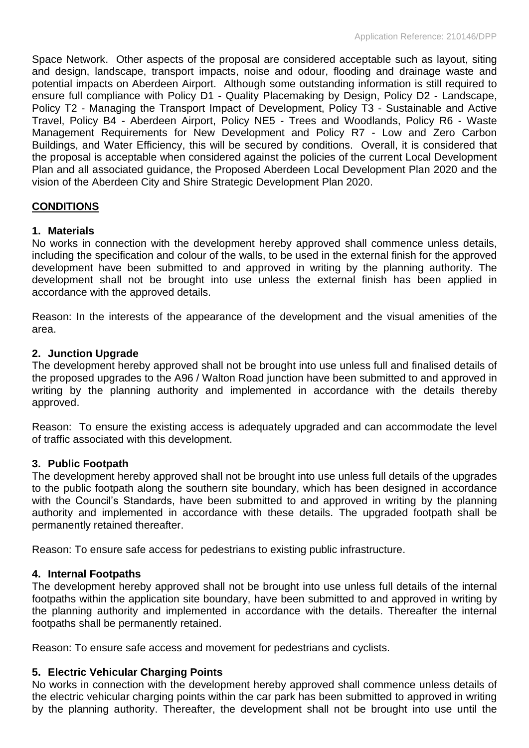Space Network. Other aspects of the proposal are considered acceptable such as layout, siting and design, landscape, transport impacts, noise and odour, flooding and drainage waste and potential impacts on Aberdeen Airport. Although some outstanding information is still required to ensure full compliance with Policy D1 - Quality Placemaking by Design, Policy D2 - Landscape, Policy T2 - Managing the Transport Impact of Development, Policy T3 - Sustainable and Active Travel, Policy B4 - Aberdeen Airport, Policy NE5 - Trees and Woodlands, Policy R6 - Waste Management Requirements for New Development and Policy R7 - Low and Zero Carbon Buildings, and Water Efficiency, this will be secured by conditions. Overall, it is considered that the proposal is acceptable when considered against the policies of the current Local Development Plan and all associated guidance, the Proposed Aberdeen Local Development Plan 2020 and the vision of the Aberdeen City and Shire Strategic Development Plan 2020.

## **CONDITIONS**

## **1. Materials**

No works in connection with the development hereby approved shall commence unless details, including the specification and colour of the walls, to be used in the external finish for the approved development have been submitted to and approved in writing by the planning authority. The development shall not be brought into use unless the external finish has been applied in accordance with the approved details.

Reason: In the interests of the appearance of the development and the visual amenities of the area.

## **2. Junction Upgrade**

The development hereby approved shall not be brought into use unless full and finalised details of the proposed upgrades to the A96 / Walton Road junction have been submitted to and approved in writing by the planning authority and implemented in accordance with the details thereby approved.

Reason: To ensure the existing access is adequately upgraded and can accommodate the level of traffic associated with this development.

## **3. Public Footpath**

The development hereby approved shall not be brought into use unless full details of the upgrades to the public footpath along the southern site boundary, which has been designed in accordance with the Council's Standards, have been submitted to and approved in writing by the planning authority and implemented in accordance with these details. The upgraded footpath shall be permanently retained thereafter.

Reason: To ensure safe access for pedestrians to existing public infrastructure.

## **4. Internal Footpaths**

The development hereby approved shall not be brought into use unless full details of the internal footpaths within the application site boundary, have been submitted to and approved in writing by the planning authority and implemented in accordance with the details. Thereafter the internal footpaths shall be permanently retained.

Reason: To ensure safe access and movement for pedestrians and cyclists.

## **5. Electric Vehicular Charging Points**

No works in connection with the development hereby approved shall commence unless details of the electric vehicular charging points within the car park has been submitted to approved in writing by the planning authority. Thereafter, the development shall not be brought into use until the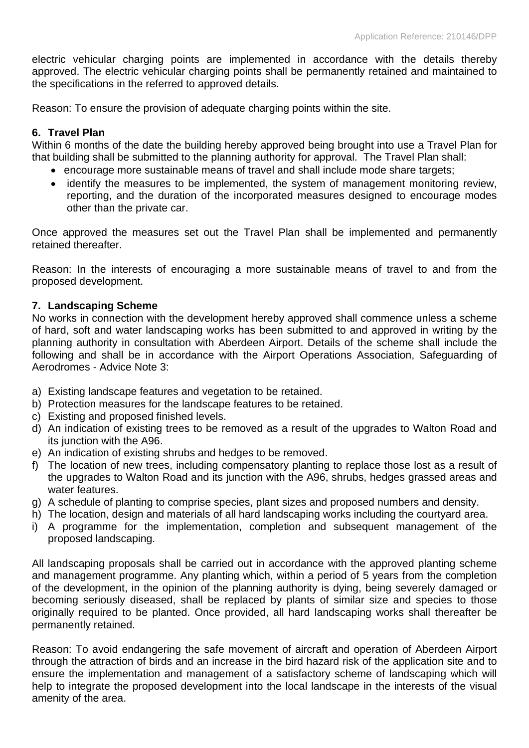electric vehicular charging points are implemented in accordance with the details thereby approved. The electric vehicular charging points shall be permanently retained and maintained to the specifications in the referred to approved details.

Reason: To ensure the provision of adequate charging points within the site.

## **6. Travel Plan**

Within 6 months of the date the building hereby approved being brought into use a Travel Plan for that building shall be submitted to the planning authority for approval. The Travel Plan shall:

- encourage more sustainable means of travel and shall include mode share targets;
- identify the measures to be implemented, the system of management monitoring review, reporting, and the duration of the incorporated measures designed to encourage modes other than the private car.

Once approved the measures set out the Travel Plan shall be implemented and permanently retained thereafter.

Reason: In the interests of encouraging a more sustainable means of travel to and from the proposed development.

## **7. Landscaping Scheme**

No works in connection with the development hereby approved shall commence unless a scheme of hard, soft and water landscaping works has been submitted to and approved in writing by the planning authority in consultation with Aberdeen Airport. Details of the scheme shall include the following and shall be in accordance with the Airport Operations Association, Safeguarding of Aerodromes - Advice Note 3:

- a) Existing landscape features and vegetation to be retained.
- b) Protection measures for the landscape features to be retained.
- c) Existing and proposed finished levels.
- d) An indication of existing trees to be removed as a result of the upgrades to Walton Road and its junction with the A96.
- e) An indication of existing shrubs and hedges to be removed.
- f) The location of new trees, including compensatory planting to replace those lost as a result of the upgrades to Walton Road and its junction with the A96, shrubs, hedges grassed areas and water features.
- g) A schedule of planting to comprise species, plant sizes and proposed numbers and density.
- h) The location, design and materials of all hard landscaping works including the courtyard area.
- i) A programme for the implementation, completion and subsequent management of the proposed landscaping.

All landscaping proposals shall be carried out in accordance with the approved planting scheme and management programme. Any planting which, within a period of 5 years from the completion of the development, in the opinion of the planning authority is dying, being severely damaged or becoming seriously diseased, shall be replaced by plants of similar size and species to those originally required to be planted. Once provided, all hard landscaping works shall thereafter be permanently retained.

Reason: To avoid endangering the safe movement of aircraft and operation of Aberdeen Airport through the attraction of birds and an increase in the bird hazard risk of the application site and to ensure the implementation and management of a satisfactory scheme of landscaping which will help to integrate the proposed development into the local landscape in the interests of the visual amenity of the area.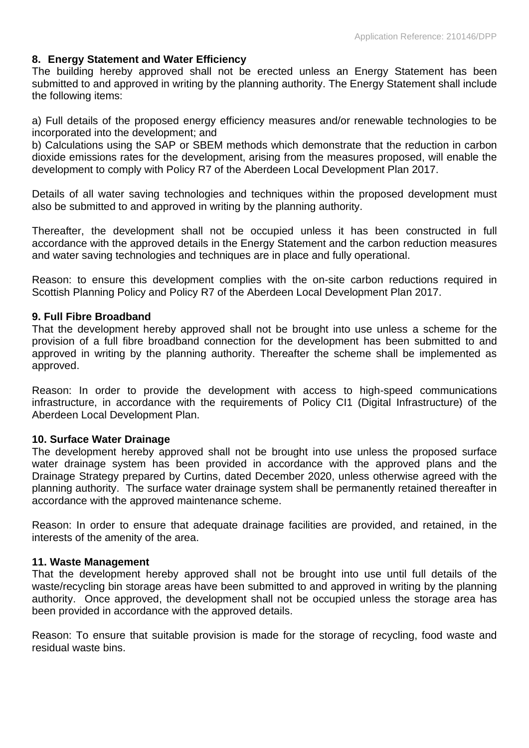## **8. Energy Statement and Water Efficiency**

The building hereby approved shall not be erected unless an Energy Statement has been submitted to and approved in writing by the planning authority. The Energy Statement shall include the following items:

a) Full details of the proposed energy efficiency measures and/or renewable technologies to be incorporated into the development; and

b) Calculations using the SAP or SBEM methods which demonstrate that the reduction in carbon dioxide emissions rates for the development, arising from the measures proposed, will enable the development to comply with Policy R7 of the Aberdeen Local Development Plan 2017.

Details of all water saving technologies and techniques within the proposed development must also be submitted to and approved in writing by the planning authority.

Thereafter, the development shall not be occupied unless it has been constructed in full accordance with the approved details in the Energy Statement and the carbon reduction measures and water saving technologies and techniques are in place and fully operational.

Reason: to ensure this development complies with the on-site carbon reductions required in Scottish Planning Policy and Policy R7 of the Aberdeen Local Development Plan 2017.

#### **9. Full Fibre Broadband**

That the development hereby approved shall not be brought into use unless a scheme for the provision of a full fibre broadband connection for the development has been submitted to and approved in writing by the planning authority. Thereafter the scheme shall be implemented as approved.

Reason: In order to provide the development with access to high-speed communications infrastructure, in accordance with the requirements of Policy CI1 (Digital Infrastructure) of the Aberdeen Local Development Plan.

## **10. Surface Water Drainage**

The development hereby approved shall not be brought into use unless the proposed surface water drainage system has been provided in accordance with the approved plans and the Drainage Strategy prepared by Curtins, dated December 2020, unless otherwise agreed with the planning authority. The surface water drainage system shall be permanently retained thereafter in accordance with the approved maintenance scheme.

Reason: In order to ensure that adequate drainage facilities are provided, and retained, in the interests of the amenity of the area.

## **11. Waste Management**

That the development hereby approved shall not be brought into use until full details of the waste/recycling bin storage areas have been submitted to and approved in writing by the planning authority. Once approved, the development shall not be occupied unless the storage area has been provided in accordance with the approved details.

Reason: To ensure that suitable provision is made for the storage of recycling, food waste and residual waste bins.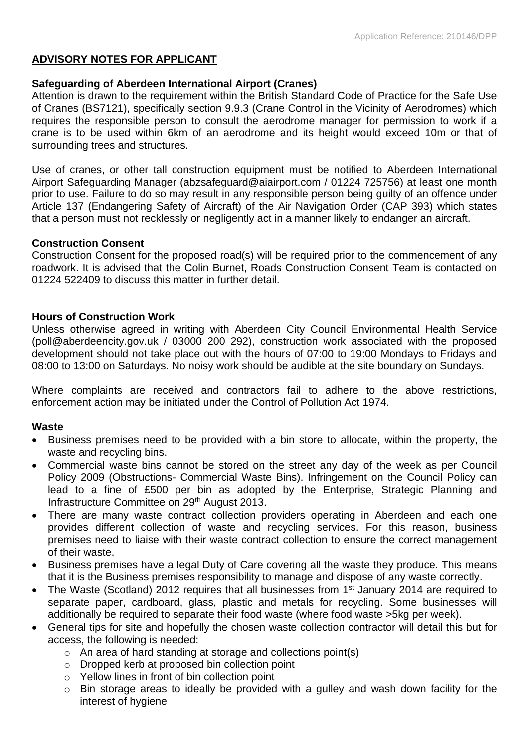# **ADVISORY NOTES FOR APPLICANT**

## **Safeguarding of Aberdeen International Airport (Cranes)**

Attention is drawn to the requirement within the British Standard Code of Practice for the Safe Use of Cranes (BS7121), specifically section 9.9.3 (Crane Control in the Vicinity of Aerodromes) which requires the responsible person to consult the aerodrome manager for permission to work if a crane is to be used within 6km of an aerodrome and its height would exceed 10m or that of surrounding trees and structures.

Use of cranes, or other tall construction equipment must be notified to Aberdeen International Airport Safeguarding Manager (abzsafeguard@aiairport.com / 01224 725756) at least one month prior to use. Failure to do so may result in any responsible person being guilty of an offence under Article 137 (Endangering Safety of Aircraft) of the Air Navigation Order (CAP 393) which states that a person must not recklessly or negligently act in a manner likely to endanger an aircraft.

## **Construction Consent**

Construction Consent for the proposed road(s) will be required prior to the commencement of any roadwork. It is advised that the Colin Burnet, Roads Construction Consent Team is contacted on 01224 522409 to discuss this matter in further detail.

## **Hours of Construction Work**

Unless otherwise agreed in writing with Aberdeen City Council Environmental Health Service (poll@aberdeencity.gov.uk / 03000 200 292), construction work associated with the proposed development should not take place out with the hours of 07:00 to 19:00 Mondays to Fridays and 08:00 to 13:00 on Saturdays. No noisy work should be audible at the site boundary on Sundays.

Where complaints are received and contractors fail to adhere to the above restrictions, enforcement action may be initiated under the Control of Pollution Act 1974.

# **Waste**

- Business premises need to be provided with a bin store to allocate, within the property, the waste and recycling bins.
- Commercial waste bins cannot be stored on the street any day of the week as per Council Policy 2009 (Obstructions- Commercial Waste Bins). Infringement on the Council Policy can lead to a fine of £500 per bin as adopted by the Enterprise, Strategic Planning and Infrastructure Committee on 29<sup>th</sup> August 2013.
- There are many waste contract collection providers operating in Aberdeen and each one provides different collection of waste and recycling services. For this reason, business premises need to liaise with their waste contract collection to ensure the correct management of their waste.
- Business premises have a legal Duty of Care covering all the waste they produce. This means that it is the Business premises responsibility to manage and dispose of any waste correctly.
- The Waste (Scotland) 2012 requires that all businesses from 1<sup>st</sup> January 2014 are required to separate paper, cardboard, glass, plastic and metals for recycling. Some businesses will additionally be required to separate their food waste (where food waste >5kg per week).
- General tips for site and hopefully the chosen waste collection contractor will detail this but for access, the following is needed:
	- $\circ$  An area of hard standing at storage and collections point(s)
	- o Dropped kerb at proposed bin collection point
	- o Yellow lines in front of bin collection point
	- o Bin storage areas to ideally be provided with a gulley and wash down facility for the interest of hygiene